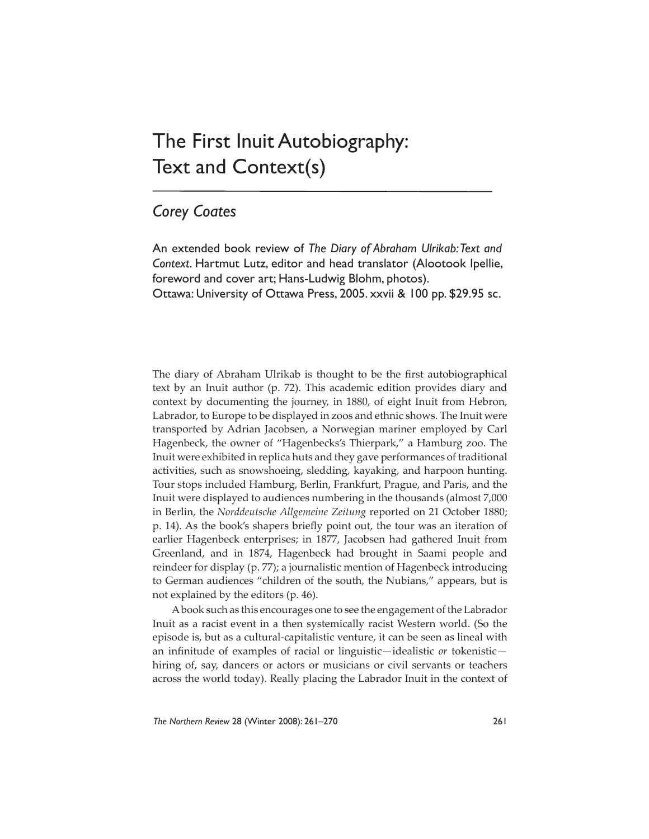## The First Inuit Autobiography: Text and Context(s)

## *Corey Coates*

An extended book review of *The Diary of Abraham Ulrikab: Text and Context*. Hartmut Lutz, editor and head translator (Alootook Ipellie, foreword and cover art; Hans-Ludwig Blohm, photos). Ottawa: University of Ottawa Press, 2005. xxvii & 100 pp. \$29.95 sc.

The diary of Abraham Ulrikab is thought to be the first autobiographical text by an Inuit author (p. 72). This academic edition provides diary and context by documenting the journey, in 1880, of eight Inuit from Hebron, Labrador, to Europe to be displayed in zoos and ethnic shows. The Inuit were transported by Adrian Jacobsen, a Norwegian mariner employed by Carl Hagenbeck, the owner of "Hagenbecks's Thierpark," a Hamburg zoo. The Inuit were exhibited in replica huts and they gave performances of traditional activities, such as snowshoeing, sledding, kayaking, and harpoon hunting. Tour stops included Hamburg, Berlin, Frankfurt, Prague, and Paris, and the Inuit were displayed to audiences numbering in the thousands (almost 7,000 in Berlin, the *Norddeutsche Allgemeine Zeitung* reported on 21 October 1880; p. 14). As the book's shapers briefly point out, the tour was an iteration of earlier Hagenbeck enterprises; in 1877, Jacobsen had gathered Inuit from Greenland, and in 1874, Hagenbeck had brought in Saami people and reindeer for display (p. 77); a journalistic mention of Hagenbeck introducing to German audiences "children of the south, the Nubians," appears, but is not explained by the editors (p. 46).

A book such as this encourages one to see the engagement of the Labrador Inuit as a racist event in a then systemically racist Western world. (So the episode is, but as a cultural-capitalistic venture, it can be seen as lineal with an infinitude of examples of racial or linguistic—idealistic or tokenistic hiring of, say, dancers or actors or musicians or civil servants or teachers across the world today). Really placing the Labrador Inuit in the context of

*The Northern Review* 28 (Winter 2008): 261–270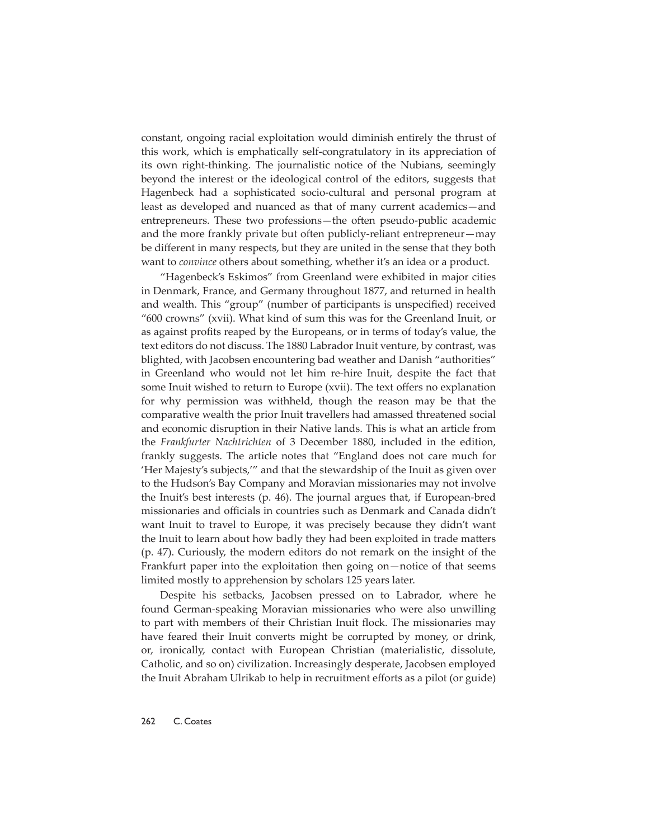constant, ongoing racial exploitation would diminish entirely the thrust of this work, which is emphatically self-congratulatory in its appreciation of its own right-thinking. The journalistic notice of the Nubians, seemingly beyond the interest or the ideological control of the editors, suggests that Hagenbeck had a sophisticated socio-cultural and personal program at least as developed and nuanced as that of many current academics—and entrepreneurs. These two professions—the often pseudo-public academic and the more frankly private but often publicly-reliant entrepreneur—may be different in many respects, but they are united in the sense that they both want to *convince* others about something, whether it's an idea or a product.

"Hagenbeck's Eskimos" from Greenland were exhibited in major cities in Denmark, France, and Germany throughout 1877, and returned in health and wealth. This "group" (number of participants is unspecified) received "600 crowns" (xvii). What kind of sum this was for the Greenland Inuit, or as against profits reaped by the Europeans, or in terms of today's value, the text editors do not discuss. The 1880 Labrador Inuit venture, by contrast, was blighted, with Jacobsen encountering bad weather and Danish "authorities" in Greenland who would not let him re-hire Inuit, despite the fact that some Inuit wished to return to Europe (xvii). The text offers no explanation for why permission was withheld, though the reason may be that the comparative wealth the prior Inuit travellers had amassed threatened social and economic disruption in their Native lands. This is what an article from the *Frankfurter Nachtrichten* of 3 December 1880, included in the edition, frankly suggests. The article notes that "England does not care much for 'Her Majesty's subjects,'" and that the stewardship of the Inuit as given over to the Hudson's Bay Company and Moravian missionaries may not involve the Inuit's best interests (p. 46). The journal argues that, if European-bred missionaries and officials in countries such as Denmark and Canada didn't want Inuit to travel to Europe, it was precisely because they didn't want the Inuit to learn about how badly they had been exploited in trade matters (p. 47). Curiously, the modern editors do not remark on the insight of the Frankfurt paper into the exploitation then going on—notice of that seems limited mostly to apprehension by scholars 125 years later.

Despite his setbacks, Jacobsen pressed on to Labrador, where he found German-speaking Moravian missionaries who were also unwilling to part with members of their Christian Inuit flock. The missionaries may have feared their Inuit converts might be corrupted by money, or drink, or, ironically, contact with European Christian (materialistic, dissolute, Catholic, and so on) civilization. Increasingly desperate, Jacobsen employed the Inuit Abraham Ulrikab to help in recruitment efforts as a pilot (or guide)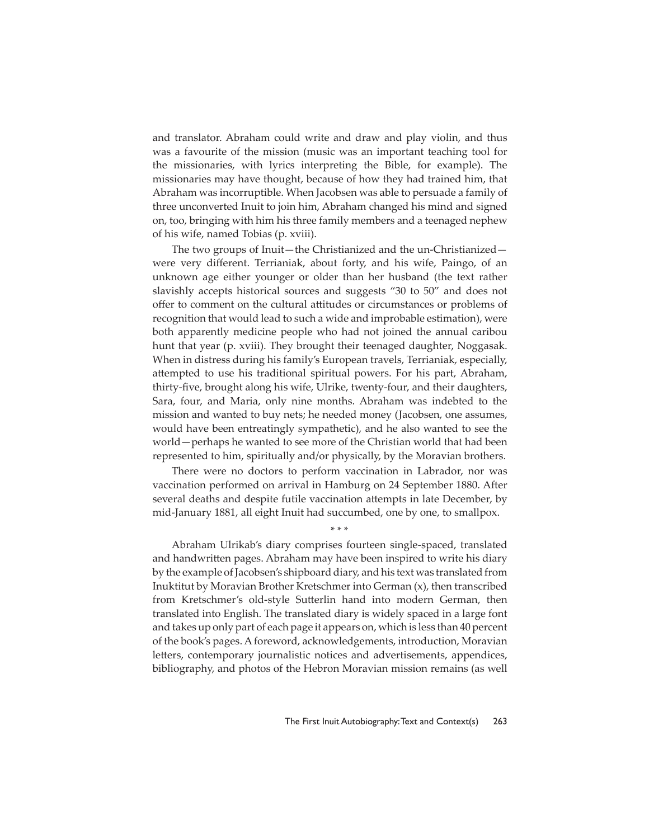and translator. Abraham could write and draw and play violin, and thus was a favourite of the mission (music was an important teaching tool for the missionaries, with lyrics interpreting the Bible, for example). The missionaries may have thought, because of how they had trained him, that Abraham was incorruptible. When Jacobsen was able to persuade a family of three unconverted Inuit to join him, Abraham changed his mind and signed on, too, bringing with him his three family members and a teenaged nephew of his wife, named Tobias (p. xviii).

The two groups of Inuit—the Christianized and the un-Christianized were very different. Terrianiak, about forty, and his wife, Paingo, of an unknown age either younger or older than her husband (the text rather slavishly accepts historical sources and suggests "30 to 50" and does not offer to comment on the cultural attitudes or circumstances or problems of recognition that would lead to such a wide and improbable estimation), were both apparently medicine people who had not joined the annual caribou hunt that year (p. xviii). They brought their teenaged daughter, Noggasak. When in distress during his family's European travels, Terrianiak, especially, attempted to use his traditional spiritual powers. For his part, Abraham, thirty-five, brought along his wife, Ulrike, twenty-four, and their daughters, Sara, four, and Maria, only nine months. Abraham was indebted to the mission and wanted to buy nets; he needed money (Jacobsen, one assumes, would have been entreatingly sympathetic), and he also wanted to see the world—perhaps he wanted to see more of the Christian world that had been represented to him, spiritually and/or physically, by the Moravian brothers.

There were no doctors to perform vaccination in Labrador, nor was vaccination performed on arrival in Hamburg on 24 September 1880. After several deaths and despite futile vaccination attempts in late December, by mid-January 1881, all eight Inuit had succumbed, one by one, to smallpox.

\* \* \*

Abraham Ulrikab's diary comprises fourteen single-spaced, translated and handwritten pages. Abraham may have been inspired to write his diary by the example of Jacobsen's shipboard diary, and his text was translated from Inuktitut by Moravian Brother Kretschmer into German (x), then transcribed from Kretschmer's old-style Sutterlin hand into modern German, then translated into English. The translated diary is widely spaced in a large font and takes up only part of each page it appears on, which is less than 40 percent of the book's pages. A foreword, acknowledgements, introduction, Moravian letters, contemporary journalistic notices and advertisements, appendices, bibliography, and photos of the Hebron Moravian mission remains (as well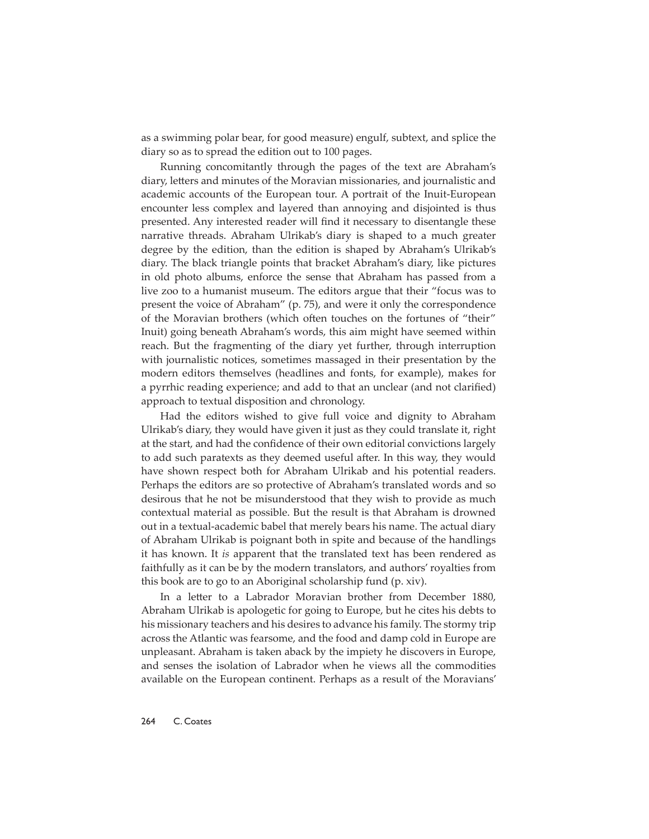as a swimming polar bear, for good measure) engulf, subtext, and splice the diary so as to spread the edition out to 100 pages.

Running concomitantly through the pages of the text are Abraham's diary, letters and minutes of the Moravian missionaries, and journalistic and academic accounts of the European tour. A portrait of the Inuit-European encounter less complex and layered than annoying and disjointed is thus presented. Any interested reader will find it necessary to disentangle these narrative threads. Abraham Ulrikab's diary is shaped to a much greater degree by the edition, than the edition is shaped by Abraham's Ulrikab's diary. The black triangle points that bracket Abraham's diary, like pictures in old photo albums, enforce the sense that Abraham has passed from a live zoo to a humanist museum. The editors argue that their "focus was to present the voice of Abraham" (p. 75), and were it only the correspondence of the Moravian brothers (which often touches on the fortunes of "their" Inuit) going beneath Abraham's words, this aim might have seemed within reach. But the fragmenting of the diary yet further, through interruption with journalistic notices, sometimes massaged in their presentation by the modern editors themselves (headlines and fonts, for example), makes for a pyrrhic reading experience; and add to that an unclear (and not clarified) approach to textual disposition and chronology.

Had the editors wished to give full voice and dignity to Abraham Ulrikab's diary, they would have given it just as they could translate it, right at the start, and had the confidence of their own editorial convictions largely to add such paratexts as they deemed useful after. In this way, they would have shown respect both for Abraham Ulrikab and his potential readers. Perhaps the editors are so protective of Abraham's translated words and so desirous that he not be misunderstood that they wish to provide as much contextual material as possible. But the result is that Abraham is drowned out in a textual-academic babel that merely bears his name. The actual diary of Abraham Ulrikab is poignant both in spite and because of the handlings it has known. It *is* apparent that the translated text has been rendered as faithfully as it can be by the modern translators, and authors' royalties from this book are to go to an Aboriginal scholarship fund (p. xiv).

In a letter to a Labrador Moravian brother from December 1880, Abraham Ulrikab is apologetic for going to Europe, but he cites his debts to his missionary teachers and his desires to advance his family. The stormy trip across the Atlantic was fearsome, and the food and damp cold in Europe are unpleasant. Abraham is taken aback by the impiety he discovers in Europe, and senses the isolation of Labrador when he views all the commodities available on the European continent. Perhaps as a result of the Moravians'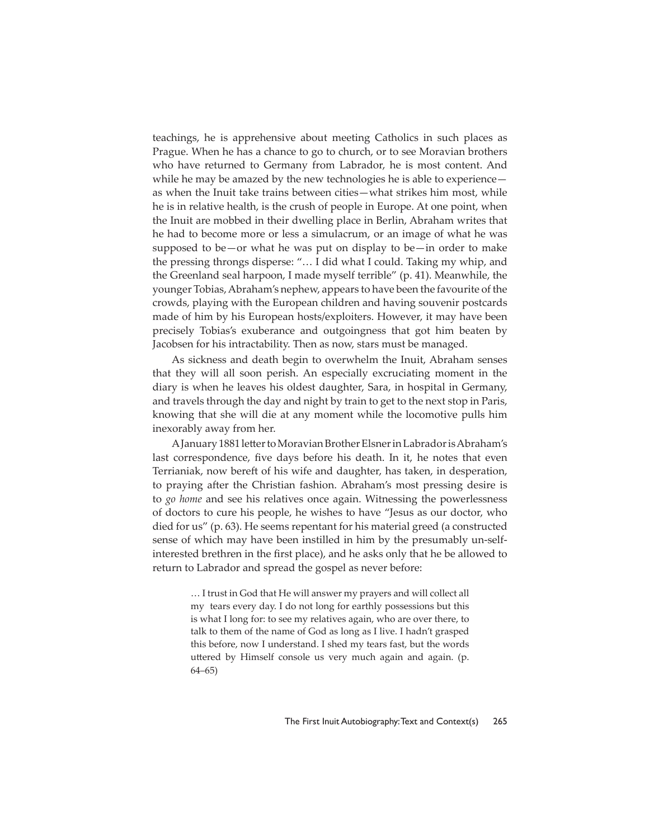teachings, he is apprehensive about meeting Catholics in such places as Prague. When he has a chance to go to church, or to see Moravian brothers who have returned to Germany from Labrador, he is most content. And while he may be amazed by the new technologies he is able to experience as when the Inuit take trains between cities—what strikes him most, while he is in relative health, is the crush of people in Europe. At one point, when the Inuit are mobbed in their dwelling place in Berlin, Abraham writes that he had to become more or less a simulacrum, or an image of what he was supposed to be—or what he was put on display to be—in order to make the pressing throngs disperse: "… I did what I could. Taking my whip, and the Greenland seal harpoon, I made myself terrible" (p. 41). Meanwhile, the younger Tobias, Abraham's nephew, appears to have been the favourite of the crowds, playing with the European children and having souvenir postcards made of him by his European hosts/exploiters. However, it may have been precisely Tobias's exuberance and outgoingness that got him beaten by Jacobsen for his intractability. Then as now, stars must be managed.

As sickness and death begin to overwhelm the Inuit, Abraham senses that they will all soon perish. An especially excruciating moment in the diary is when he leaves his oldest daughter, Sara, in hospital in Germany, and travels through the day and night by train to get to the next stop in Paris, knowing that she will die at any moment while the locomotive pulls him inexorably away from her.

A January 1881 letter to Moravian Brother Elsner in Labrador is Abraham's last correspondence, five days before his death. In it, he notes that even Terrianiak, now bereft of his wife and daughter, has taken, in desperation, to praying after the Christian fashion. Abraham's most pressing desire is to *go home* and see his relatives once again. Witnessing the powerlessness of doctors to cure his people, he wishes to have "Jesus as our doctor, who died for us" (p. 63). He seems repentant for his material greed (a constructed sense of which may have been instilled in him by the presumably un-selfinterested brethren in the first place), and he asks only that he be allowed to return to Labrador and spread the gospel as never before:

> … I trust in God that He will answer my prayers and will collect all my tears every day. I do not long for earthly possessions but this is what I long for: to see my relatives again, who are over there, to talk to them of the name of God as long as I live. I hadn't grasped this before, now I understand. I shed my tears fast, but the words uttered by Himself console us very much again and again. (p. 64–65)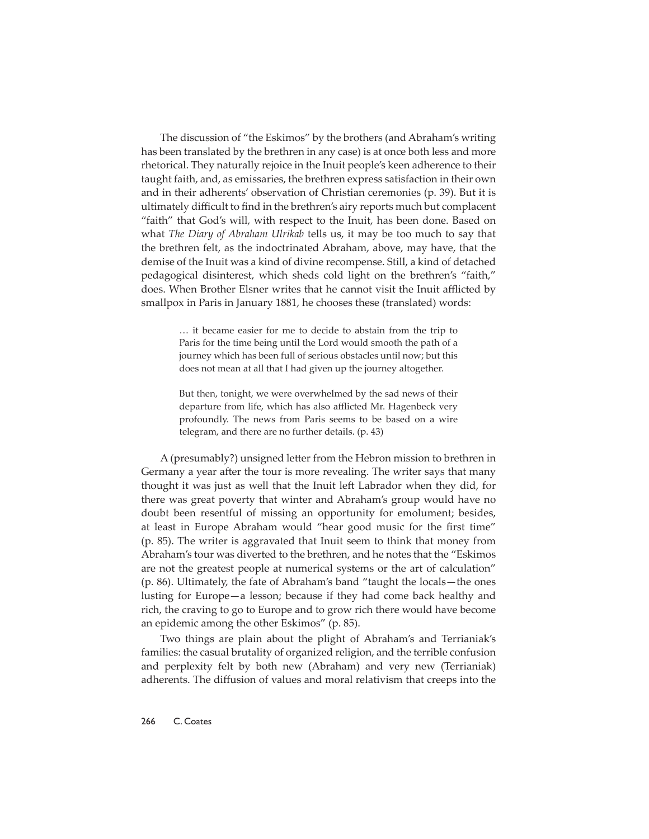The discussion of "the Eskimos" by the brothers (and Abraham's writing has been translated by the brethren in any case) is at once both less and more rhetorical. They naturally rejoice in the Inuit people's keen adherence to their taught faith, and, as emissaries, the brethren express satisfaction in their own and in their adherents' observation of Christian ceremonies (p. 39). But it is ultimately difficult to find in the brethren's airy reports much but complacent "faith" that God's will, with respect to the Inuit, has been done. Based on what *The Diary of Abraham Ulrikab* tells us, it may be too much to say that the brethren felt, as the indoctrinated Abraham, above, may have, that the demise of the Inuit was a kind of divine recompense. Still, a kind of detached pedagogical disinterest, which sheds cold light on the brethren's "faith," does. When Brother Elsner writes that he cannot visit the Inuit afflicted by smallpox in Paris in January 1881, he chooses these (translated) words:

> … it became easier for me to decide to abstain from the trip to Paris for the time being until the Lord would smooth the path of a journey which has been full of serious obstacles until now; but this does not mean at all that I had given up the journey altogether.

> But then, tonight, we were overwhelmed by the sad news of their departure from life, which has also afflicted Mr. Hagenbeck very profoundly. The news from Paris seems to be based on a wire telegram, and there are no further details. (p. 43)

A (presumably?) unsigned letter from the Hebron mission to brethren in Germany a year after the tour is more revealing. The writer says that many thought it was just as well that the Inuit left Labrador when they did, for there was great poverty that winter and Abraham's group would have no doubt been resentful of missing an opportunity for emolument; besides, at least in Europe Abraham would "hear good music for the first time" (p. 85). The writer is aggravated that Inuit seem to think that money from Abraham's tour was diverted to the brethren, and he notes that the "Eskimos are not the greatest people at numerical systems or the art of calculation" (p. 86). Ultimately, the fate of Abraham's band "taught the locals—the ones lusting for Europe—a lesson; because if they had come back healthy and rich, the craving to go to Europe and to grow rich there would have become an epidemic among the other Eskimos" (p. 85).

Two things are plain about the plight of Abraham's and Terrianiak's families: the casual brutality of organized religion, and the terrible confusion and perplexity felt by both new (Abraham) and very new (Terrianiak) adherents. The diffusion of values and moral relativism that creeps into the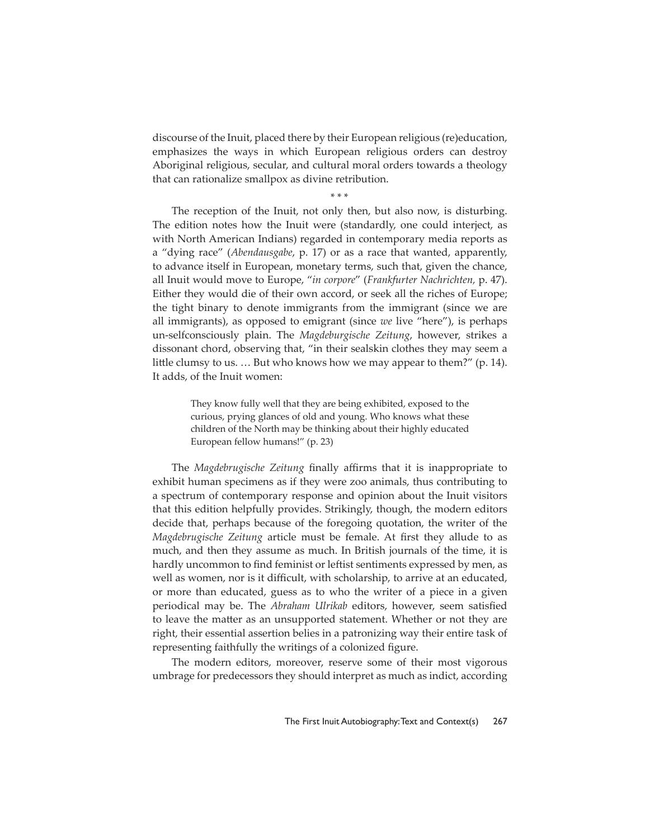discourse of the Inuit, placed there by their European religious (re)education, emphasizes the ways in which European religious orders can destroy Aboriginal religious, secular, and cultural moral orders towards a theology that can rationalize smallpox as divine retribution.

\* \* \*

The reception of the Inuit, not only then, but also now, is disturbing. The edition notes how the Inuit were (standardly, one could interject, as with North American Indians) regarded in contemporary media reports as a "dying race" (*Abendausgabe*, p. 17) or as a race that wanted, apparently, to advance itself in European, monetary terms, such that, given the chance, all Inuit would move to Europe, "*in corpore*" (*Frankfurter Nachrichten,* p. 47). Either they would die of their own accord, or seek all the riches of Europe; the tight binary to denote immigrants from the immigrant (since we are all immigrants), as opposed to emigrant (since *we* live "here"), is perhaps un-selfconsciously plain. The *Magdeburgische Zeitung*, however, strikes a dissonant chord, observing that, "in their sealskin clothes they may seem a little clumsy to us. ... But who knows how we may appear to them?" (p. 14). It adds, of the Inuit women:

> They know fully well that they are being exhibited, exposed to the curious, prying glances of old and young. Who knows what these children of the North may be thinking about their highly educated European fellow humans!" (p. 23)

The *Magdebrugische Zeitung* finally affirms that it is inappropriate to exhibit human specimens as if they were zoo animals, thus contributing to a spectrum of contemporary response and opinion about the Inuit visitors that this edition helpfully provides. Strikingly, though, the modern editors decide that, perhaps because of the foregoing quotation, the writer of the *Magdebrugische Zeitung* article must be female. At first they allude to as much, and then they assume as much. In British journals of the time, it is hardly uncommon to find feminist or leftist sentiments expressed by men, as well as women, nor is it difficult, with scholarship, to arrive at an educated, or more than educated, guess as to who the writer of a piece in a given periodical may be. The *Abraham Ulrikab* editors, however, seem satisfied to leave the matter as an unsupported statement. Whether or not they are right, their essential assertion belies in a patronizing way their entire task of representing faithfully the writings of a colonized figure.

The modern editors, moreover, reserve some of their most vigorous umbrage for predecessors they should interpret as much as indict, according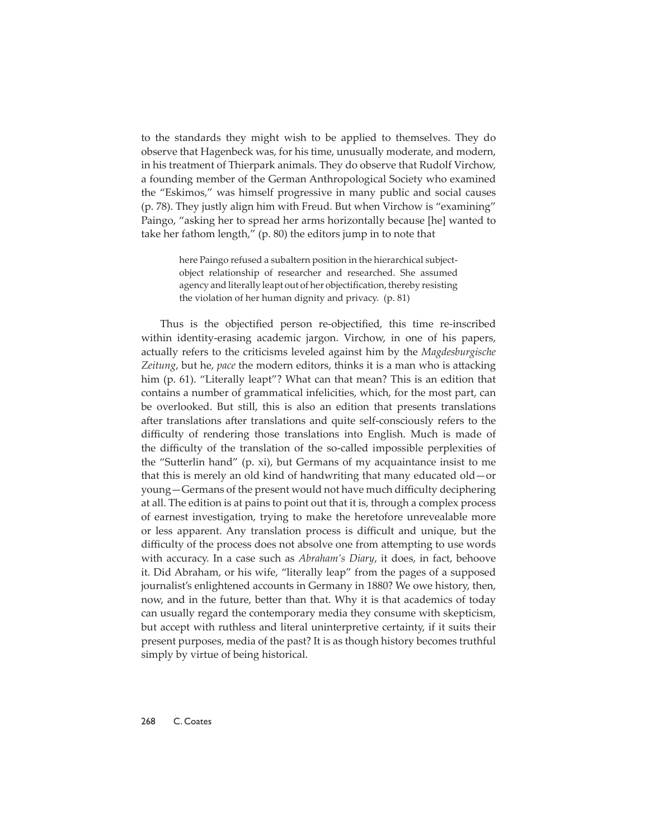to the standards they might wish to be applied to themselves. They do observe that Hagenbeck was, for his time, unusually moderate, and modern, in his treatment of Thierpark animals. They do observe that Rudolf Virchow, a founding member of the German Anthropological Society who examined the "Eskimos," was himself progressive in many public and social causes (p. 78). They justly align him with Freud. But when Virchow is "examining" Paingo, "asking her to spread her arms horizontally because [he] wanted to take her fathom length," (p. 80) the editors jump in to note that

> here Paingo refused a subaltern position in the hierarchical subjectobject relationship of researcher and researched. She assumed agency and literally leapt out of her objectification, thereby resisting the violation of her human dignity and privacy. (p. 81)

Thus is the objectified person re-objectified, this time re-inscribed within identity-erasing academic jargon. Virchow, in one of his papers, actually refers to the criticisms leveled against him by the *Magdesburgische*  Zeitung, but he, *pace* the modern editors, thinks it is a man who is attacking him (p. 61). "Literally leapt"? What can that mean? This is an edition that contains a number of grammatical infelicities, which, for the most part, can be overlooked. But still, this is also an edition that presents translations after translations after translations and quite self-consciously refers to the difficulty of rendering those translations into English. Much is made of the difficulty of the translation of the so-called impossible perplexities of the "Sutterlin hand" (p. xi), but Germans of my acquaintance insist to me that this is merely an old kind of handwriting that many educated old—or young-Germans of the present would not have much difficulty deciphering at all. The edition is at pains to point out that it is, through a complex process of earnest investigation, trying to make the heretofore unrevealable more or less apparent. Any translation process is difficult and unique, but the difficulty of the process does not absolve one from attempting to use words with accuracy. In a case such as *Abraham's Diary*, it does, in fact, behoove it. Did Abraham, or his wife, "literally leap" from the pages of a supposed journalist's enlightened accounts in Germany in 1880? We owe history, then, now, and in the future, better than that. Why it is that academics of today can usually regard the contemporary media they consume with skepticism, but accept with ruthless and literal uninterpretive certainty, if it suits their present purposes, media of the past? It is as though history becomes truthful simply by virtue of being historical.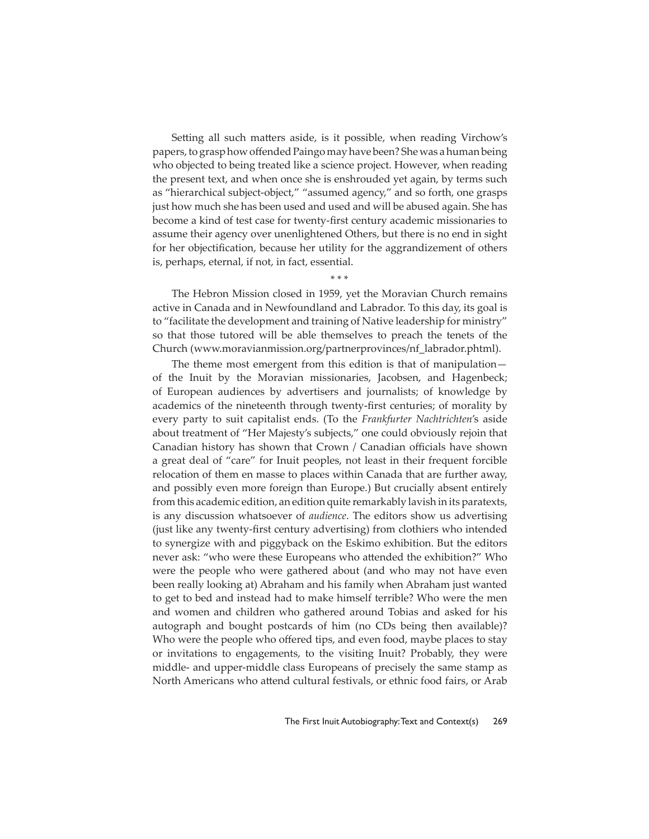Setting all such matters aside, is it possible, when reading Virchow's papers, to grasp how offended Paingo may have been? She was a human being who objected to being treated like a science project. However, when reading the present text, and when once she is enshrouded yet again, by terms such as "hierarchical subject-object," "assumed agency," and so forth, one grasps just how much she has been used and used and will be abused again. She has become a kind of test case for twenty-first century academic missionaries to assume their agency over unenlightened Others, but there is no end in sight for her objectification, because her utility for the aggrandizement of others is, perhaps, eternal, if not, in fact, essential.

\* \* \*

The Hebron Mission closed in 1959, yet the Moravian Church remains active in Canada and in Newfoundland and Labrador. To this day, its goal is to "facilitate the development and training of Native leadership for ministry" so that those tutored will be able themselves to preach the tenets of the Church (www.moravianmission.org/partnerprovinces/nf\_labrador.phtml).

The theme most emergent from this edition is that of manipulation of the Inuit by the Moravian missionaries, Jacobsen, and Hagenbeck; of European audiences by advertisers and journalists; of knowledge by academics of the nineteenth through twenty-first centuries; of morality by every party to suit capitalist ends. (To the *Frankfurter Nachtrichten*'s aside about treatment of "Her Majesty's subjects," one could obviously rejoin that Canadian history has shown that Crown / Canadian officials have shown a great deal of "care" for Inuit peoples, not least in their frequent forcible relocation of them en masse to places within Canada that are further away, and possibly even more foreign than Europe.) But crucially absent entirely from this academic edition, an edition quite remarkably lavish in its paratexts, is any discussion whatsoever of *audience*. The editors show us advertising (just like any twenty-first century advertising) from clothiers who intended to synergize with and piggyback on the Eskimo exhibition. But the editors never ask: "who were these Europeans who attended the exhibition?" Who were the people who were gathered about (and who may not have even been really looking at) Abraham and his family when Abraham just wanted to get to bed and instead had to make himself terrible? Who were the men and women and children who gathered around Tobias and asked for his autograph and bought postcards of him (no CDs being then available)? Who were the people who offered tips, and even food, maybe places to stay or invitations to engagements, to the visiting Inuit? Probably, they were middle- and upper-middle class Europeans of precisely the same stamp as North Americans who attend cultural festivals, or ethnic food fairs, or Arab